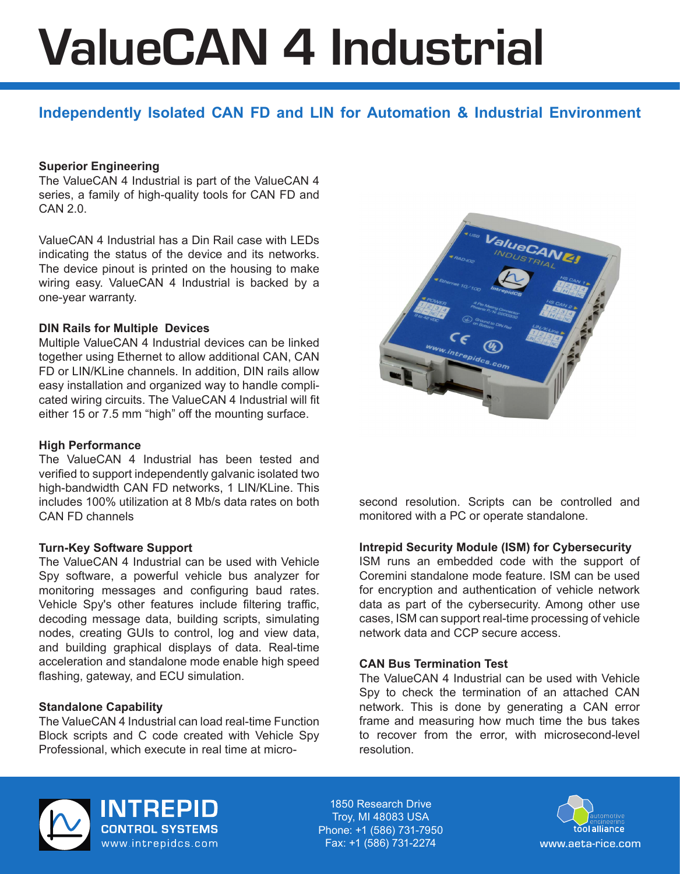# ValueCAN 4 Industrial

# **Independently Isolated CAN FD and LIN for Automation & Industrial Environment**

# **Superior Engineering**

The ValueCAN 4 Industrial is part of the ValueCAN 4 series, a family of high-quality tools for CAN FD and  $CAN 2.0.$ 

ValueCAN 4 Industrial has a Din Rail case with LEDs indicating the status of the device and its networks. The device pinout is printed on the housing to make wiring easy. ValueCAN 4 Industrial is backed by a one-year warranty.

# **DIN Rails for Multiple Devices**

Multiple ValueCAN 4 Industrial devices can be linked together using Ethernet to allow additional CAN, CAN FD or LIN/KLine channels. In addition, DIN rails allow easy installation and organized way to handle complicated wiring circuits. The ValueCAN 4 Industrial will fit either 15 or 7.5 mm "high" off the mounting surface.

# **High Performance**

The ValueCAN 4 Industrial has been tested and verified to support independently galvanic isolated two high-bandwidth CAN FD networks, 1 LIN/KLine. This includes 100% utilization at 8 Mb/s data rates on both CAN FD channels

#### **Turn-Key Software Support**

The ValueCAN 4 Industrial can be used with Vehicle Spy software, a powerful vehicle bus analyzer for monitoring messages and configuring baud rates. Vehicle Spy's other features include filtering traffic, decoding message data, building scripts, simulating nodes, creating GUIs to control, log and view data, and building graphical displays of data. Real-time acceleration and standalone mode enable high speed flashing, gateway, and ECU simulation.

# **Standalone Capability**

The ValueCAN 4 Industrial can load real-time Function Block scripts and C code created with Vehicle Spy Professional, which execute in real time at micro-



second resolution. Scripts can be controlled and monitored with a PC or operate standalone.

#### **Intrepid Security Module (ISM) for Cybersecurity**

ISM runs an embedded code with the support of Coremini standalone mode feature. ISM can be used for encryption and authentication of vehicle network data as part of the cybersecurity. Among other use cases, ISM can support real-time processing of vehicle network data and CCP secure access.

#### **CAN Bus Termination Test**

The ValueCAN 4 Industrial can be used with Vehicle Spy to check the termination of an attached CAN network. This is done by generating a CAN error frame and measuring how much time the bus takes to recover from the error, with microsecond-level resolution.



**INTREPID CONTROL SYSTEMS** www.intrepidcs.com

1850 Research Drive Troy, MI 48083 USA Phone: +1 (586) 731-7950 Fax: +1 (586) 731-2274